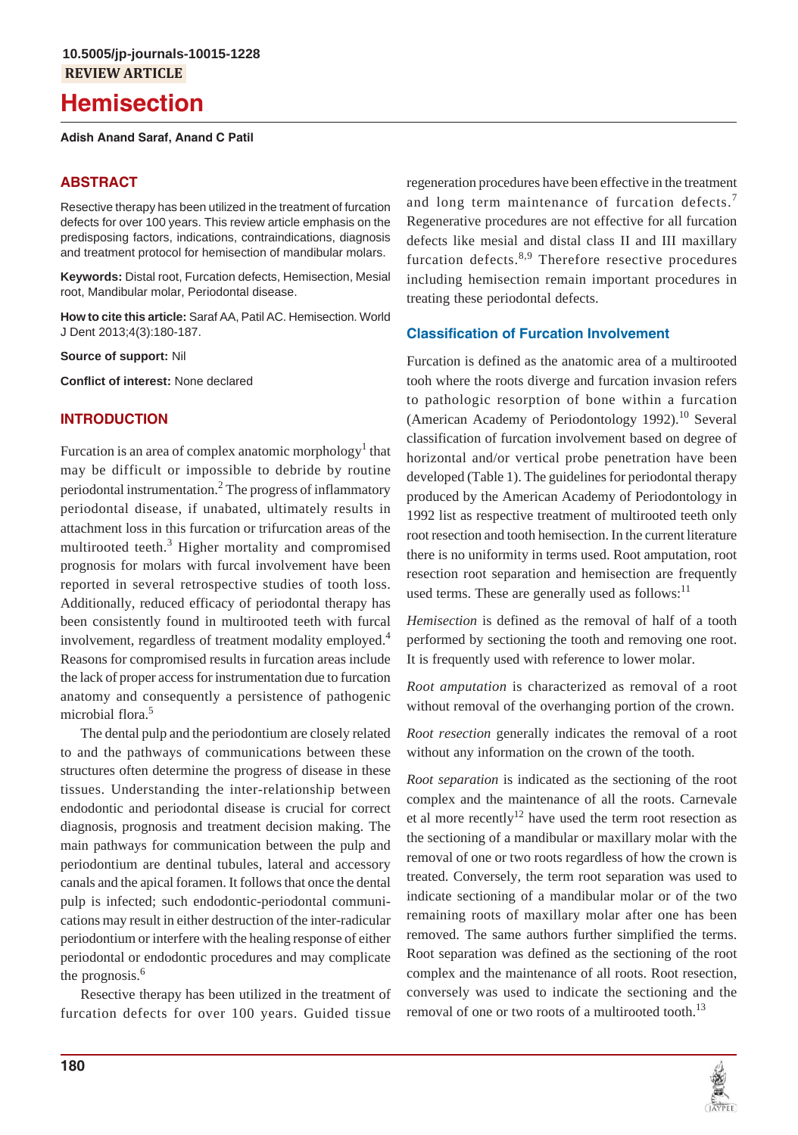# **Hemisection**

#### **Adish Anand Saraf, Anand C Patil**

## **ABSTRACT**

Resective therapy has been utilized in the treatment of furcation defects for over 100 years. This review article emphasis on the predisposing factors, indications, contraindications, diagnosis and treatment protocol for hemisection of mandibular molars.

**Keywords:** Distal root, Furcation defects, Hemisection, Mesial root, Mandibular molar, Periodontal disease.

**How to cite this article:** Saraf AA, Patil AC. Hemisection. World J Dent 2013;4(3):180-187.

**Source of support:** Nil

**Conflict of interest:** None declared

## **INTRODUCTION**

Furcation is an area of complex anatomic morphology<sup>1</sup> that may be difficult or impossible to debride by routine periodontal instrumentation.<sup>2</sup> The progress of inflammatory periodontal disease, if unabated, ultimately results in attachment loss in this furcation or trifurcation areas of the multirooted teeth.<sup>3</sup> Higher mortality and compromised prognosis for molars with furcal involvement have been reported in several retrospective studies of tooth loss. Additionally, reduced efficacy of periodontal therapy has been consistently found in multirooted teeth with furcal involvement, regardless of treatment modality employed.<sup>4</sup> Reasons for compromised results in furcation areas include the lack of proper access for instrumentation due to furcation anatomy and consequently a persistence of pathogenic microbial flora.<sup>5</sup>

The dental pulp and the periodontium are closely related to and the pathways of communications between these structures often determine the progress of disease in these tissues. Understanding the inter-relationship between endodontic and periodontal disease is crucial for correct diagnosis, prognosis and treatment decision making. The main pathways for communication between the pulp and periodontium are dentinal tubules, lateral and accessory canals and the apical foramen. It follows that once the dental pulp is infected; such endodontic-periodontal communications may result in either destruction of the inter-radicular periodontium or interfere with the healing response of either periodontal or endodontic procedures and may complicate the prognosis.<sup>6</sup>

Resective therapy has been utilized in the treatment of furcation defects for over 100 years. Guided tissue regeneration procedures have been effective in the treatment and long term maintenance of furcation defects.<sup>7</sup> Regenerative procedures are not effective for all furcation defects like mesial and distal class II and III maxillary furcation defects. $8,9$  Therefore resective procedures including hemisection remain important procedures in treating these periodontal defects.

#### **Classification of Furcation Involvement**

Furcation is defined as the anatomic area of a multirooted tooh where the roots diverge and furcation invasion refers to pathologic resorption of bone within a furcation (American Academy of Periodontology 1992).<sup>10</sup> Several classification of furcation involvement based on degree of horizontal and/or vertical probe penetration have been developed (Table 1). The guidelines for periodontal therapy produced by the American Academy of Periodontology in 1992 list as respective treatment of multirooted teeth only root resection and tooth hemisection. In the current literature there is no uniformity in terms used. Root amputation, root resection root separation and hemisection are frequently used terms. These are generally used as follows: $11$ 

*Hemisection* is defined as the removal of half of a tooth performed by sectioning the tooth and removing one root. It is frequently used with reference to lower molar.

*Root amputation* is characterized as removal of a root without removal of the overhanging portion of the crown.

*Root resection* generally indicates the removal of a root without any information on the crown of the tooth.

*Root separation* is indicated as the sectioning of the root complex and the maintenance of all the roots. Carnevale et al more recently<sup>12</sup> have used the term root resection as the sectioning of a mandibular or maxillary molar with the removal of one or two roots regardless of how the crown is treated. Conversely, the term root separation was used to indicate sectioning of a mandibular molar or of the two remaining roots of maxillary molar after one has been removed. The same authors further simplified the terms. Root separation was defined as the sectioning of the root complex and the maintenance of all roots. Root resection, conversely was used to indicate the sectioning and the removal of one or two roots of a multirooted tooth.<sup>13</sup>

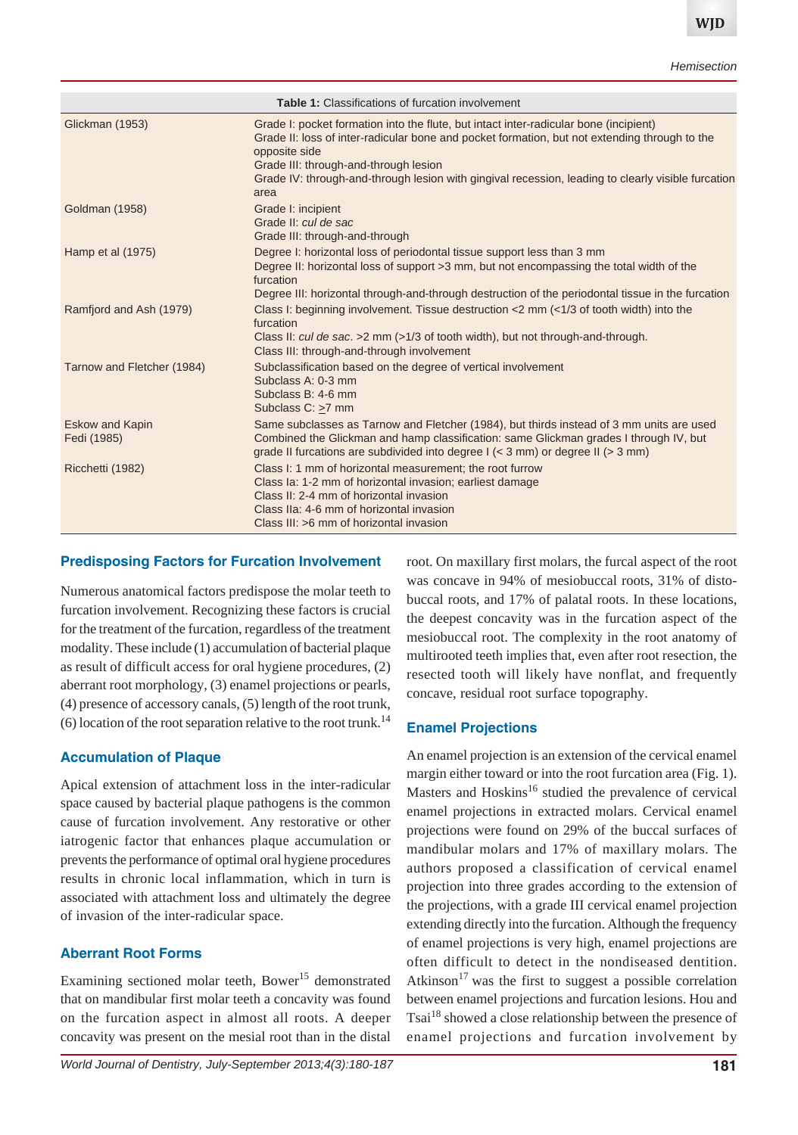| <b>Table 1:</b> Classifications of furcation involvement |                                                                                                                                                                                                                                                                                                                                                                |  |  |
|----------------------------------------------------------|----------------------------------------------------------------------------------------------------------------------------------------------------------------------------------------------------------------------------------------------------------------------------------------------------------------------------------------------------------------|--|--|
| Glickman (1953)                                          | Grade I: pocket formation into the flute, but intact inter-radicular bone (incipient)<br>Grade II: loss of inter-radicular bone and pocket formation, but not extending through to the<br>opposite side<br>Grade III: through-and-through lesion<br>Grade IV: through-and-through lesion with gingival recession, leading to clearly visible furcation<br>area |  |  |
| <b>Goldman (1958)</b>                                    | Grade I: incipient<br>Grade II: cul de sac<br>Grade III: through-and-through                                                                                                                                                                                                                                                                                   |  |  |
| Hamp et al (1975)                                        | Degree I: horizontal loss of periodontal tissue support less than 3 mm<br>Degree II: horizontal loss of support > 3 mm, but not encompassing the total width of the<br>furcation<br>Degree III: horizontal through-and-through destruction of the periodontal tissue in the furcation                                                                          |  |  |
| Ramfjord and Ash (1979)                                  | Class I: beginning involvement. Tissue destruction <2 mm (<1/3 of tooth width) into the<br>furcation<br>Class II: cul de sac. > 2 mm (>1/3 of tooth width), but not through-and-through.<br>Class III: through-and-through involvement                                                                                                                         |  |  |
| Tarnow and Fletcher (1984)                               | Subclassification based on the degree of vertical involvement<br>Subclass A: 0-3 mm<br>Subclass B: 4-6 mm<br>Subclass C: >7 mm                                                                                                                                                                                                                                 |  |  |
| <b>Eskow and Kapin</b><br>Fedi (1985)                    | Same subclasses as Tarnow and Fletcher (1984), but thirds instead of 3 mm units are used<br>Combined the Glickman and hamp classification: same Glickman grades I through IV, but<br>grade II furcations are subdivided into degree $1$ (< 3 mm) or degree II (> 3 mm)                                                                                         |  |  |
| Ricchetti (1982)                                         | Class I: 1 mm of horizontal measurement; the root furrow<br>Class Ia: 1-2 mm of horizontal invasion; earliest damage<br>Class II: 2-4 mm of horizontal invasion<br>Class IIa: 4-6 mm of horizontal invasion<br>Class III: >6 mm of horizontal invasion                                                                                                         |  |  |

#### **Predisposing Factors for Furcation Involvement**

Numerous anatomical factors predispose the molar teeth to furcation involvement. Recognizing these factors is crucial for the treatment of the furcation, regardless of the treatment modality. These include (1) accumulation of bacterial plaque as result of difficult access for oral hygiene procedures, (2) aberrant root morphology, (3) enamel projections or pearls, (4) presence of accessory canals, (5) length of the root trunk, (6) location of the root separation relative to the root trunk.<sup>14</sup>

# **Accumulation of Plaque**

Apical extension of attachment loss in the inter-radicular space caused by bacterial plaque pathogens is the common cause of furcation involvement. Any restorative or other iatrogenic factor that enhances plaque accumulation or prevents the performance of optimal oral hygiene procedures results in chronic local inflammation, which in turn is associated with attachment loss and ultimately the degree of invasion of the inter-radicular space.

# **Aberrant Root Forms**

Examining sectioned molar teeth, Bower<sup>15</sup> demonstrated that on mandibular first molar teeth a concavity was found on the furcation aspect in almost all roots. A deeper concavity was present on the mesial root than in the distal

*World Journal of Dentistry, July-September 2013;4(3):180-187* **181**

root. On maxillary first molars, the furcal aspect of the root was concave in 94% of mesiobuccal roots, 31% of distobuccal roots, and 17% of palatal roots. In these locations, the deepest concavity was in the furcation aspect of the mesiobuccal root. The complexity in the root anatomy of multirooted teeth implies that, even after root resection, the resected tooth will likely have nonflat, and frequently concave, residual root surface topography.

# **Enamel Projections**

An enamel projection is an extension of the cervical enamel margin either toward or into the root furcation area (Fig. 1). Masters and Hoskins<sup>16</sup> studied the prevalence of cervical enamel projections in extracted molars. Cervical enamel projections were found on 29% of the buccal surfaces of mandibular molars and 17% of maxillary molars. The authors proposed a classification of cervical enamel projection into three grades according to the extension of the projections, with a grade III cervical enamel projection extending directly into the furcation. Although the frequency of enamel projections is very high, enamel projections are often difficult to detect in the nondiseased dentition. Atkinson<sup>17</sup> was the first to suggest a possible correlation between enamel projections and furcation lesions. Hou and Tsai<sup>18</sup> showed a close relationship between the presence of enamel projections and furcation involvement by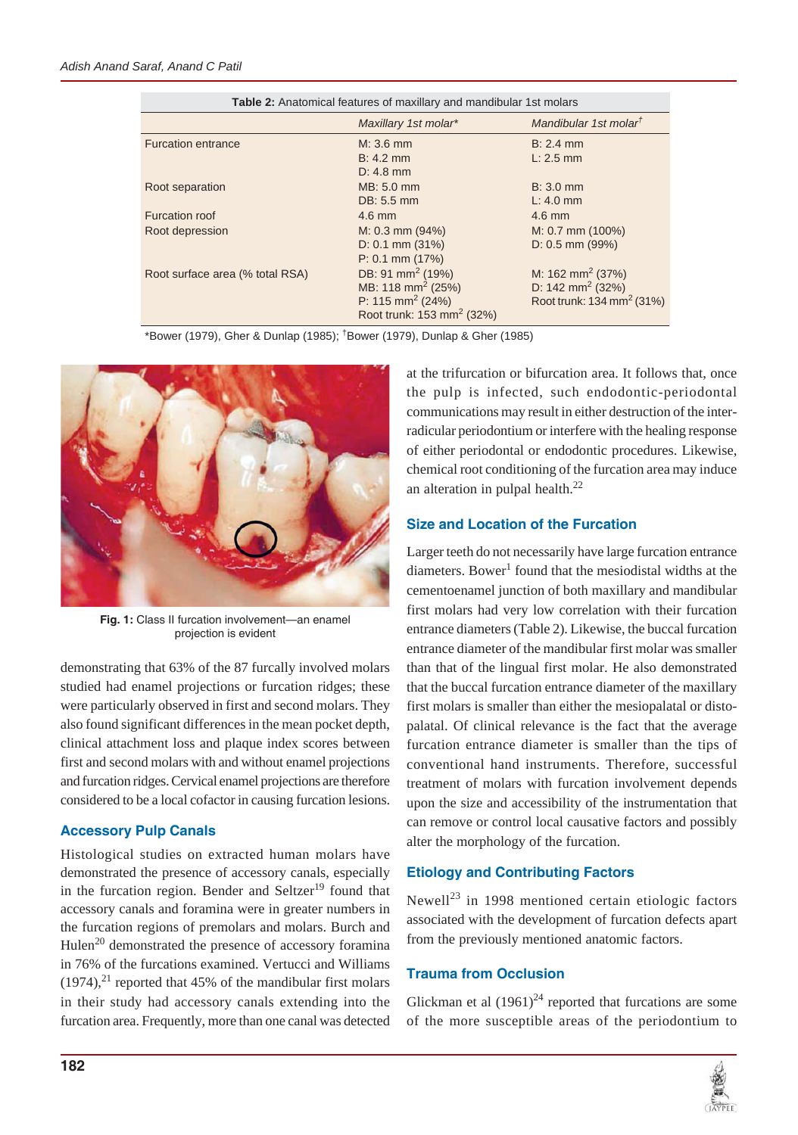| Table 2: Anatomical features of maxillary and mandibular 1st molars |                                       |                                       |  |
|---------------------------------------------------------------------|---------------------------------------|---------------------------------------|--|
|                                                                     | Maxillary 1st molar*                  | Mandibular 1st molar <sup>t</sup>     |  |
| <b>Furcation entrance</b>                                           | $M: 3.6$ mm                           | $B: 2.4$ mm                           |  |
|                                                                     | $B: 4.2$ mm                           | $L: 2.5$ mm                           |  |
|                                                                     | $D: 4.8$ mm                           |                                       |  |
| Root separation                                                     | MB: 5.0 mm                            | $B: 3.0$ mm                           |  |
|                                                                     | DB: 5.5 mm                            | $L: 4.0$ mm                           |  |
| Furcation roof                                                      | $4.6$ mm                              | $4.6$ mm                              |  |
| Root depression                                                     | $M: 0.3$ mm $(94%)$                   | $M: 0.7$ mm (100%)                    |  |
|                                                                     | $D: 0.1$ mm $(31%)$                   | $D: 0.5$ mm (99%)                     |  |
|                                                                     | $P: 0.1$ mm $(17%)$                   |                                       |  |
| Root surface area (% total RSA)                                     | DB: 91 mm <sup>2</sup> (19%)          | M: 162 mm <sup>2</sup> (37%)          |  |
|                                                                     | MB: 118 mm <sup>2</sup> (25%)         | D: 142 mm <sup>2</sup> (32%)          |  |
|                                                                     | P: 115 mm <sup>2</sup> (24%)          | Root trunk: 134 mm <sup>2</sup> (31%) |  |
|                                                                     | Root trunk: 153 mm <sup>2</sup> (32%) |                                       |  |

\*Bower (1979), Gher & Dunlap (1985); † Bower (1979), Dunlap & Gher (1985)



**Fig. 1:** Class II furcation involvement—an enamel projection is evident

demonstrating that 63% of the 87 furcally involved molars studied had enamel projections or furcation ridges; these were particularly observed in first and second molars. They also found significant differences in the mean pocket depth, clinical attachment loss and plaque index scores between first and second molars with and without enamel projections and furcation ridges. Cervical enamel projections are therefore considered to be a local cofactor in causing furcation lesions.

# **Accessory Pulp Canals**

Histological studies on extracted human molars have demonstrated the presence of accessory canals, especially in the furcation region. Bender and Seltzer<sup>19</sup> found that accessory canals and foramina were in greater numbers in the furcation regions of premolars and molars. Burch and Hulen<sup>20</sup> demonstrated the presence of accessory foramina in 76% of the furcations examined. Vertucci and Williams  $(1974)$ ,<sup>21</sup> reported that 45% of the mandibular first molars in their study had accessory canals extending into the furcation area. Frequently, more than one canal was detected at the trifurcation or bifurcation area. It follows that, once the pulp is infected, such endodontic-periodontal communications may result in either destruction of the interradicular periodontium or interfere with the healing response of either periodontal or endodontic procedures. Likewise, chemical root conditioning of the furcation area may induce an alteration in pulpal health. $^{22}$ 

# **Size and Location of the Furcation**

Larger teeth do not necessarily have large furcation entrance diameters. Bower<sup>1</sup> found that the mesiodistal widths at the cementoenamel junction of both maxillary and mandibular first molars had very low correlation with their furcation entrance diameters (Table 2). Likewise, the buccal furcation entrance diameter of the mandibular first molar was smaller than that of the lingual first molar. He also demonstrated that the buccal furcation entrance diameter of the maxillary first molars is smaller than either the mesiopalatal or distopalatal. Of clinical relevance is the fact that the average furcation entrance diameter is smaller than the tips of conventional hand instruments. Therefore, successful treatment of molars with furcation involvement depends upon the size and accessibility of the instrumentation that can remove or control local causative factors and possibly alter the morphology of the furcation.

# **Etiology and Contributing Factors**

Newell<sup>23</sup> in 1998 mentioned certain etiologic factors associated with the development of furcation defects apart from the previously mentioned anatomic factors.

# **Trauma from Occlusion**

Glickman et al  $(1961)^{24}$  reported that furcations are some of the more susceptible areas of the periodontium to

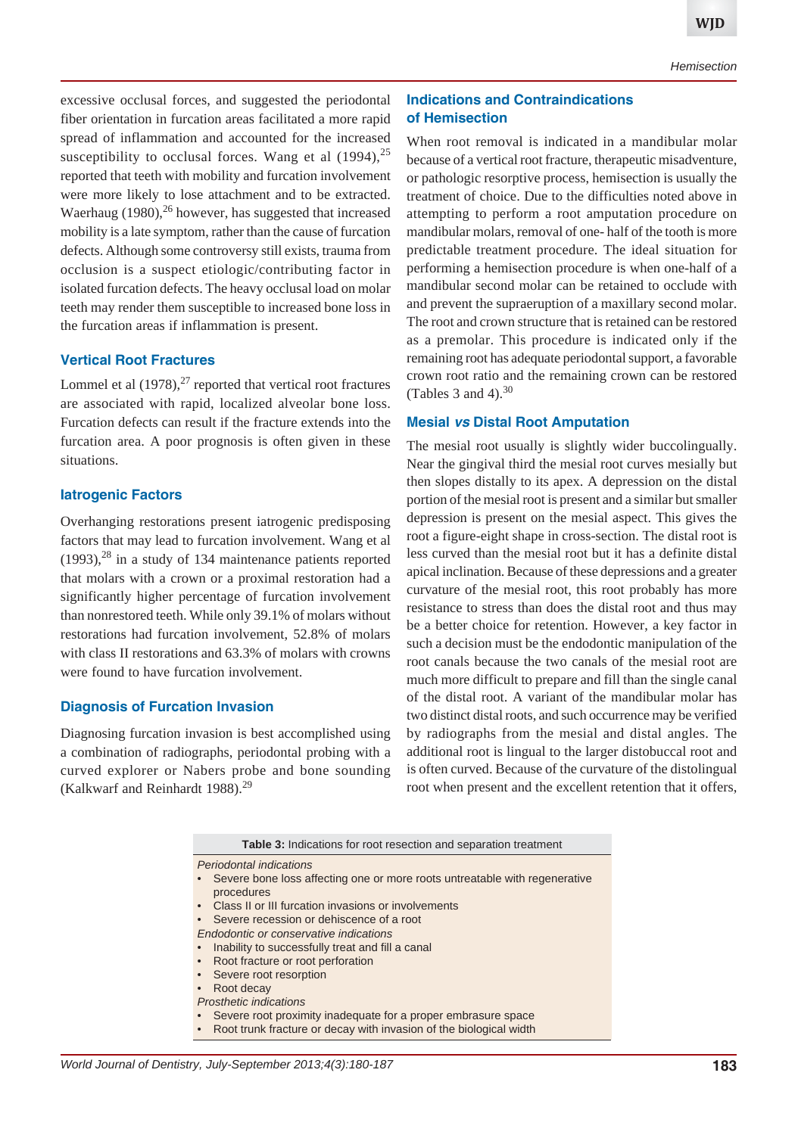excessive occlusal forces, and suggested the periodontal fiber orientation in furcation areas facilitated a more rapid spread of inflammation and accounted for the increased susceptibility to occlusal forces. Wang et al  $(1994)$ ,<sup>25</sup> reported that teeth with mobility and furcation involvement were more likely to lose attachment and to be extracted. Waerhaug (1980), $^{26}$  however, has suggested that increased mobility is a late symptom, rather than the cause of furcation defects. Although some controversy still exists, trauma from occlusion is a suspect etiologic/contributing factor in isolated furcation defects. The heavy occlusal load on molar teeth may render them susceptible to increased bone loss in the furcation areas if inflammation is present.

## **Vertical Root Fractures**

Lommel et al  $(1978)^{27}$  reported that vertical root fractures are associated with rapid, localized alveolar bone loss. Furcation defects can result if the fracture extends into the furcation area. A poor prognosis is often given in these situations.

#### **Iatrogenic Factors**

Overhanging restorations present iatrogenic predisposing factors that may lead to furcation involvement. Wang et al  $(1993)$ ,<sup>28</sup> in a study of 134 maintenance patients reported that molars with a crown or a proximal restoration had a significantly higher percentage of furcation involvement than nonrestored teeth. While only 39.1% of molars without restorations had furcation involvement, 52.8% of molars with class II restorations and 63.3% of molars with crowns were found to have furcation involvement.

#### **Diagnosis of Furcation Invasion**

Diagnosing furcation invasion is best accomplished using a combination of radiographs, periodontal probing with a curved explorer or Nabers probe and bone sounding (Kalkwarf and Reinhardt 1988).<sup>29</sup>

## **Indications and Contraindications of Hemisection**

When root removal is indicated in a mandibular molar because of a vertical root fracture, therapeutic misadventure, or pathologic resorptive process, hemisection is usually the treatment of choice. Due to the difficulties noted above in attempting to perform a root amputation procedure on mandibular molars, removal of one- half of the tooth is more predictable treatment procedure. The ideal situation for performing a hemisection procedure is when one-half of a mandibular second molar can be retained to occlude with and prevent the supraeruption of a maxillary second molar. The root and crown structure that is retained can be restored as a premolar. This procedure is indicated only if the remaining root has adequate periodontal support, a favorable crown root ratio and the remaining crown can be restored (Tables 3 and 4). $30$ 

## **Mesial** *vs* **Distal Root Amputation**

The mesial root usually is slightly wider buccolingually. Near the gingival third the mesial root curves mesially but then slopes distally to its apex. A depression on the distal portion of the mesial root is present and a similar but smaller depression is present on the mesial aspect. This gives the root a figure-eight shape in cross-section. The distal root is less curved than the mesial root but it has a definite distal apical inclination. Because of these depressions and a greater curvature of the mesial root, this root probably has more resistance to stress than does the distal root and thus may be a better choice for retention. However, a key factor in such a decision must be the endodontic manipulation of the root canals because the two canals of the mesial root are much more difficult to prepare and fill than the single canal of the distal root. A variant of the mandibular molar has two distinct distal roots, and such occurrence may be verified by radiographs from the mesial and distal angles. The additional root is lingual to the larger distobuccal root and is often curved. Because of the curvature of the distolingual root when present and the excellent retention that it offers,

| <b>Table 3:</b> Indications for root resection and separation treatment      |
|------------------------------------------------------------------------------|
| Periodontal indications                                                      |
| • Severe bone loss affecting one or more roots untreatable with regenerative |
| procedures                                                                   |
| • Class II or III furcation invasions or involvements                        |
| Severe recession or dehiscence of a root                                     |
| Endodontic or conservative indications                                       |
| • Inability to successfully treat and fill a canal                           |
| • Root fracture or root perforation                                          |
| • Severe root resorption                                                     |
| • Root decay                                                                 |
| <b>Prosthetic indications</b>                                                |
| Severe root proximity inadequate for a proper embrasure space                |
| Root trunk fracture or decay with invasion of the biological width           |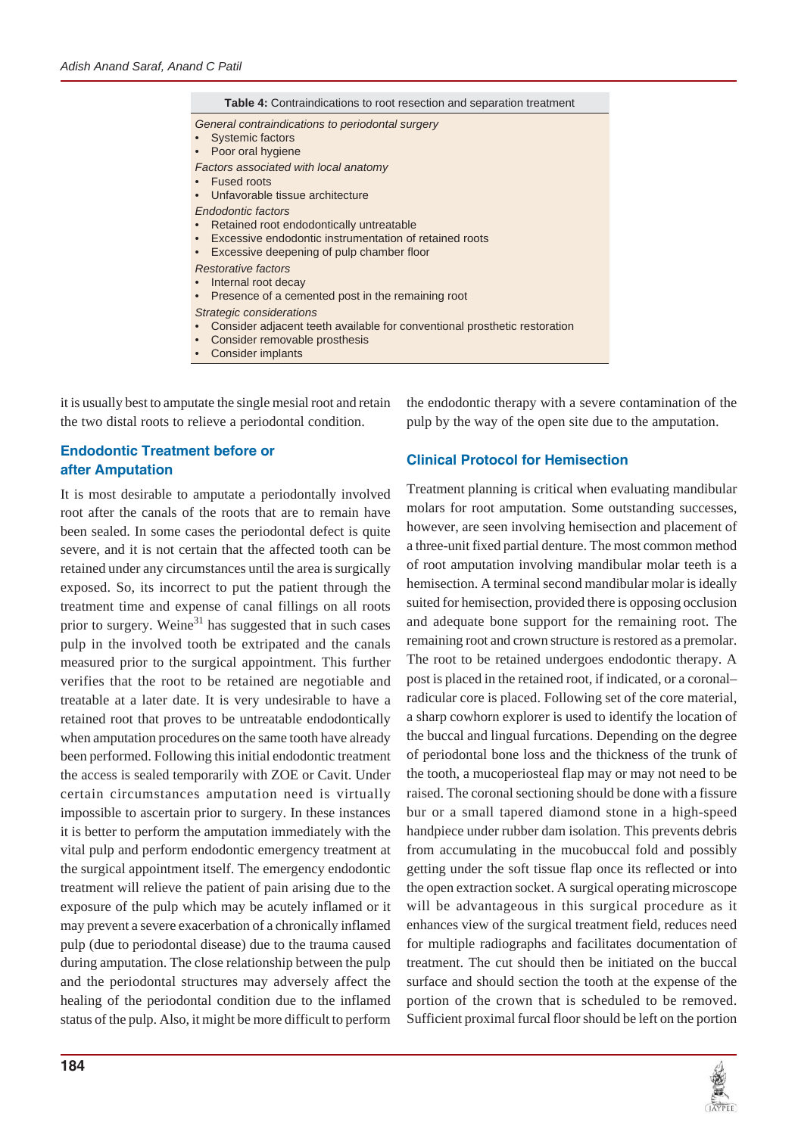

it is usually best to amputate the single mesial root and retain the two distal roots to relieve a periodontal condition.

## **Endodontic Treatment before or after Amputation**

It is most desirable to amputate a periodontally involved root after the canals of the roots that are to remain have been sealed. In some cases the periodontal defect is quite severe, and it is not certain that the affected tooth can be retained under any circumstances until the area is surgically exposed. So, its incorrect to put the patient through the treatment time and expense of canal fillings on all roots prior to surgery. Weine $31$  has suggested that in such cases pulp in the involved tooth be extripated and the canals measured prior to the surgical appointment. This further verifies that the root to be retained are negotiable and treatable at a later date. It is very undesirable to have a retained root that proves to be untreatable endodontically when amputation procedures on the same tooth have already been performed. Following this initial endodontic treatment the access is sealed temporarily with ZOE or Cavit. Under certain circumstances amputation need is virtually impossible to ascertain prior to surgery. In these instances it is better to perform the amputation immediately with the vital pulp and perform endodontic emergency treatment at the surgical appointment itself. The emergency endodontic treatment will relieve the patient of pain arising due to the exposure of the pulp which may be acutely inflamed or it may prevent a severe exacerbation of a chronically inflamed pulp (due to periodontal disease) due to the trauma caused during amputation. The close relationship between the pulp and the periodontal structures may adversely affect the healing of the periodontal condition due to the inflamed status of the pulp. Also, it might be more difficult to perform the endodontic therapy with a severe contamination of the pulp by the way of the open site due to the amputation.

# **Clinical Protocol for Hemisection**

Treatment planning is critical when evaluating mandibular molars for root amputation. Some outstanding successes, however, are seen involving hemisection and placement of a three-unit fixed partial denture. The most common method of root amputation involving mandibular molar teeth is a hemisection. A terminal second mandibular molar is ideally suited for hemisection, provided there is opposing occlusion and adequate bone support for the remaining root. The remaining root and crown structure is restored as a premolar. The root to be retained undergoes endodontic therapy. A post is placed in the retained root, if indicated, or a coronal– radicular core is placed. Following set of the core material, a sharp cowhorn explorer is used to identify the location of the buccal and lingual furcations. Depending on the degree of periodontal bone loss and the thickness of the trunk of the tooth, a mucoperiosteal flap may or may not need to be raised. The coronal sectioning should be done with a fissure bur or a small tapered diamond stone in a high-speed handpiece under rubber dam isolation. This prevents debris from accumulating in the mucobuccal fold and possibly getting under the soft tissue flap once its reflected or into the open extraction socket. A surgical operating microscope will be advantageous in this surgical procedure as it enhances view of the surgical treatment field, reduces need for multiple radiographs and facilitates documentation of treatment. The cut should then be initiated on the buccal surface and should section the tooth at the expense of the portion of the crown that is scheduled to be removed. Sufficient proximal furcal floor should be left on the portion

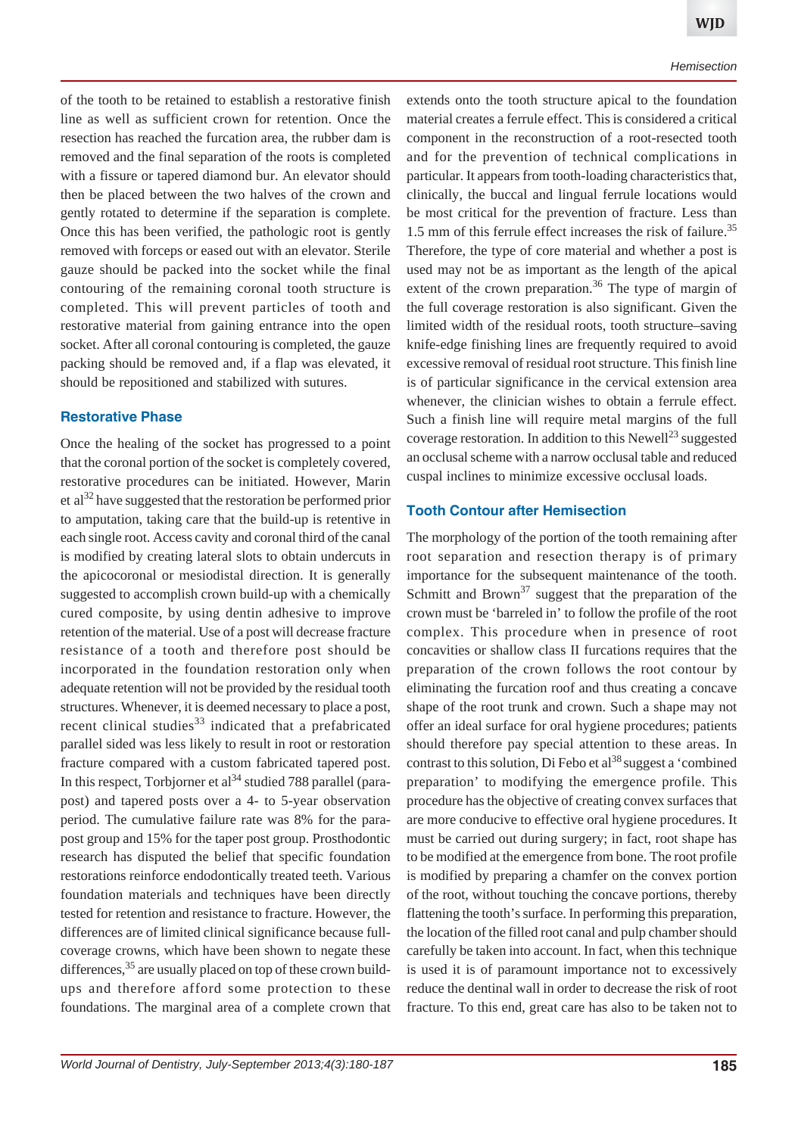of the tooth to be retained to establish a restorative finish line as well as sufficient crown for retention. Once the resection has reached the furcation area, the rubber dam is removed and the final separation of the roots is completed with a fissure or tapered diamond bur. An elevator should then be placed between the two halves of the crown and gently rotated to determine if the separation is complete. Once this has been verified, the pathologic root is gently removed with forceps or eased out with an elevator. Sterile gauze should be packed into the socket while the final contouring of the remaining coronal tooth structure is completed. This will prevent particles of tooth and restorative material from gaining entrance into the open socket. After all coronal contouring is completed, the gauze packing should be removed and, if a flap was elevated, it should be repositioned and stabilized with sutures.

## **Restorative Phase**

Once the healing of the socket has progressed to a point that the coronal portion of the socket is completely covered, restorative procedures can be initiated. However, Marin et al<sup>32</sup> have suggested that the restoration be performed prior to amputation, taking care that the build-up is retentive in each single root. Access cavity and coronal third of the canal is modified by creating lateral slots to obtain undercuts in the apicocoronal or mesiodistal direction. It is generally suggested to accomplish crown build-up with a chemically cured composite, by using dentin adhesive to improve retention of the material. Use of a post will decrease fracture resistance of a tooth and therefore post should be incorporated in the foundation restoration only when adequate retention will not be provided by the residual tooth structures. Whenever, it is deemed necessary to place a post, recent clinical studies $33$  indicated that a prefabricated parallel sided was less likely to result in root or restoration fracture compared with a custom fabricated tapered post. In this respect, Torbjorner et al<sup>34</sup> studied 788 parallel (parapost) and tapered posts over a 4- to 5-year observation period. The cumulative failure rate was 8% for the parapost group and 15% for the taper post group. Prosthodontic research has disputed the belief that specific foundation restorations reinforce endodontically treated teeth. Various foundation materials and techniques have been directly tested for retention and resistance to fracture. However, the differences are of limited clinical significance because fullcoverage crowns, which have been shown to negate these differences,<sup>35</sup> are usually placed on top of these crown buildups and therefore afford some protection to these foundations. The marginal area of a complete crown that

extends onto the tooth structure apical to the foundation material creates a ferrule effect. This is considered a critical component in the reconstruction of a root-resected tooth and for the prevention of technical complications in particular. It appears from tooth-loading characteristics that, clinically, the buccal and lingual ferrule locations would be most critical for the prevention of fracture. Less than 1.5 mm of this ferrule effect increases the risk of failure.<sup>35</sup> Therefore, the type of core material and whether a post is used may not be as important as the length of the apical extent of the crown preparation.<sup>36</sup> The type of margin of the full coverage restoration is also significant. Given the limited width of the residual roots, tooth structure–saving knife-edge finishing lines are frequently required to avoid excessive removal of residual root structure. This finish line is of particular significance in the cervical extension area whenever, the clinician wishes to obtain a ferrule effect. Such a finish line will require metal margins of the full coverage restoration. In addition to this Newell<sup>23</sup> suggested an occlusal scheme with a narrow occlusal table and reduced cuspal inclines to minimize excessive occlusal loads.

#### **Tooth Contour after Hemisection**

The morphology of the portion of the tooth remaining after root separation and resection therapy is of primary importance for the subsequent maintenance of the tooth. Schmitt and Brown<sup>37</sup> suggest that the preparation of the crown must be 'barreled in' to follow the profile of the root complex. This procedure when in presence of root concavities or shallow class II furcations requires that the preparation of the crown follows the root contour by eliminating the furcation roof and thus creating a concave shape of the root trunk and crown. Such a shape may not offer an ideal surface for oral hygiene procedures; patients should therefore pay special attention to these areas. In contrast to this solution, Di Febo et  $al^{38}$  suggest a 'combined preparation' to modifying the emergence profile. This procedure has the objective of creating convex surfaces that are more conducive to effective oral hygiene procedures. It must be carried out during surgery; in fact, root shape has to be modified at the emergence from bone. The root profile is modified by preparing a chamfer on the convex portion of the root, without touching the concave portions, thereby flattening the tooth's surface. In performing this preparation, the location of the filled root canal and pulp chamber should carefully be taken into account. In fact, when this technique is used it is of paramount importance not to excessively reduce the dentinal wall in order to decrease the risk of root fracture. To this end, great care has also to be taken not to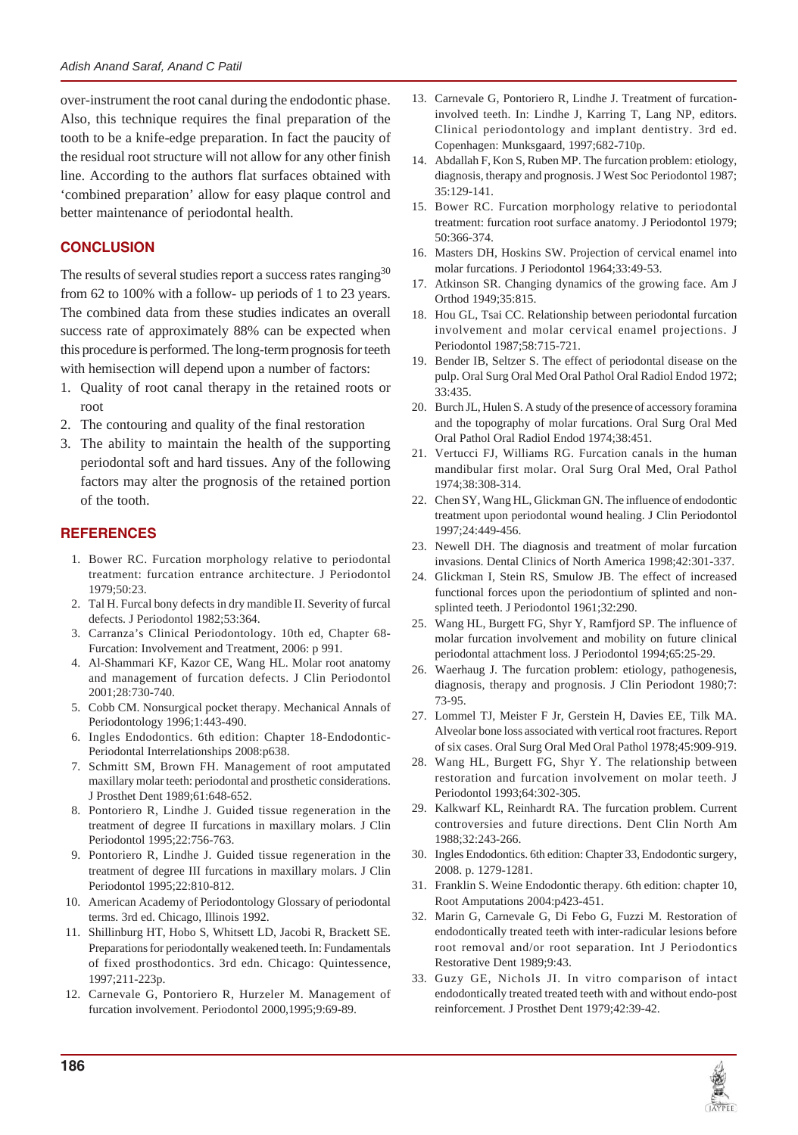over-instrument the root canal during the endodontic phase. Also, this technique requires the final preparation of the tooth to be a knife-edge preparation. In fact the paucity of the residual root structure will not allow for any other finish line. According to the authors flat surfaces obtained with 'combined preparation' allow for easy plaque control and better maintenance of periodontal health.

## **CONCLUSION**

The results of several studies report a success rates ranging<sup>30</sup> from 62 to 100% with a follow- up periods of 1 to 23 years. The combined data from these studies indicates an overall success rate of approximately 88% can be expected when this procedure is performed. The long-term prognosis for teeth with hemisection will depend upon a number of factors:

- 1. Quality of root canal therapy in the retained roots or root
- 2. The contouring and quality of the final restoration
- 3. The ability to maintain the health of the supporting periodontal soft and hard tissues. Any of the following factors may alter the prognosis of the retained portion of the tooth.

## **REFERENCES**

- 1. Bower RC. Furcation morphology relative to periodontal treatment: furcation entrance architecture. J Periodontol 1979;50:23.
- 2. Tal H. Furcal bony defects in dry mandible II. Severity of furcal defects. J Periodontol 1982;53:364.
- 3. Carranza's Clinical Periodontology. 10th ed, Chapter 68- Furcation: Involvement and Treatment, 2006: p 991.
- 4. Al-Shammari KF, Kazor CE, Wang HL. Molar root anatomy and management of furcation defects. J Clin Periodontol 2001;28:730-740.
- 5. Cobb CM. Nonsurgical pocket therapy. Mechanical Annals of Periodontology 1996;1:443-490.
- 6. Ingles Endodontics. 6th edition: Chapter 18-Endodontic-Periodontal Interrelationships 2008:p638.
- 7. Schmitt SM, Brown FH. Management of root amputated maxillary molar teeth: periodontal and prosthetic considerations. J Prosthet Dent 1989;61:648-652.
- 8. Pontoriero R, Lindhe J. Guided tissue regeneration in the treatment of degree II furcations in maxillary molars. J Clin Periodontol 1995;22:756-763.
- 9. Pontoriero R, Lindhe J. Guided tissue regeneration in the treatment of degree III furcations in maxillary molars. J Clin Periodontol 1995;22:810-812.
- 10. American Academy of Periodontology Glossary of periodontal terms. 3rd ed. Chicago, Illinois 1992.
- 11. Shillinburg HT, Hobo S, Whitsett LD, Jacobi R, Brackett SE. Preparations for periodontally weakened teeth. In: Fundamentals of fixed prosthodontics. 3rd edn. Chicago: Quintessence, 1997;211-223p.
- 12. Carnevale G, Pontoriero R, Hurzeler M. Management of furcation involvement. Periodontol 2000,1995;9:69-89.
- 13. Carnevale G, Pontoriero R, Lindhe J. Treatment of furcationinvolved teeth. In: Lindhe J, Karring T, Lang NP, editors. Clinical periodontology and implant dentistry. 3rd ed. Copenhagen: Munksgaard, 1997;682-710p.
- 14. Abdallah F, Kon S, Ruben MP. The furcation problem: etiology, diagnosis, therapy and prognosis. J West Soc Periodontol 1987; 35:129-141.
- 15. Bower RC. Furcation morphology relative to periodontal treatment: furcation root surface anatomy. J Periodontol 1979; 50:366-374.
- 16. Masters DH, Hoskins SW. Projection of cervical enamel into molar furcations. J Periodontol 1964;33:49-53.
- 17. Atkinson SR. Changing dynamics of the growing face. Am J Orthod 1949;35:815.
- 18. Hou GL, Tsai CC. Relationship between periodontal furcation involvement and molar cervical enamel projections. J Periodontol 1987;58:715-721.
- 19. Bender IB, Seltzer S. The effect of periodontal disease on the pulp. Oral Surg Oral Med Oral Pathol Oral Radiol Endod 1972; 33:435.
- 20. Burch JL, Hulen S. A study of the presence of accessory foramina and the topography of molar furcations. Oral Surg Oral Med Oral Pathol Oral Radiol Endod 1974;38:451.
- 21. Vertucci FJ, Williams RG. Furcation canals in the human mandibular first molar. Oral Surg Oral Med, Oral Pathol 1974;38:308-314.
- 22. Chen SY, Wang HL, Glickman GN. The influence of endodontic treatment upon periodontal wound healing. J Clin Periodontol 1997;24:449-456.
- 23. Newell DH. The diagnosis and treatment of molar furcation invasions. Dental Clinics of North America 1998;42:301-337.
- 24. Glickman I, Stein RS, Smulow JB. The effect of increased functional forces upon the periodontium of splinted and nonsplinted teeth. J Periodontol 1961;32:290.
- 25. Wang HL, Burgett FG, Shyr Y, Ramfjord SP. The influence of molar furcation involvement and mobility on future clinical periodontal attachment loss. J Periodontol 1994;65:25-29.
- 26. Waerhaug J. The furcation problem: etiology, pathogenesis, diagnosis, therapy and prognosis. J Clin Periodont 1980;7: 73-95.
- 27. Lommel TJ, Meister F Jr, Gerstein H, Davies EE, Tilk MA. Alveolar bone loss associated with vertical root fractures. Report of six cases. Oral Surg Oral Med Oral Pathol 1978;45:909-919.
- 28. Wang HL, Burgett FG, Shyr Y. The relationship between restoration and furcation involvement on molar teeth. J Periodontol 1993;64:302-305.
- 29. Kalkwarf KL, Reinhardt RA. The furcation problem. Current controversies and future directions. Dent Clin North Am 1988;32:243-266.
- 30. Ingles Endodontics. 6th edition: Chapter 33, Endodontic surgery, 2008. p. 1279-1281.
- 31. Franklin S. Weine Endodontic therapy. 6th edition: chapter 10, Root Amputations 2004:p423-451.
- 32. Marin G, Carnevale G, Di Febo G, Fuzzi M. Restoration of endodontically treated teeth with inter-radicular lesions before root removal and/or root separation. Int J Periodontics Restorative Dent 1989;9:43.
- 33. Guzy GE, Nichols JI. In vitro comparison of intact endodontically treated treated teeth with and without endo-post reinforcement. J Prosthet Dent 1979;42:39-42.